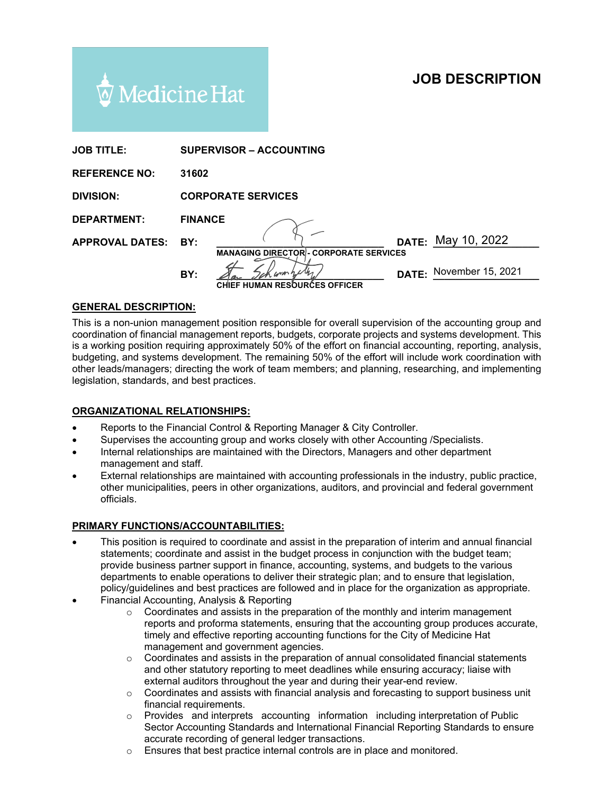# **JOB DESCRIPTION**



| <b>JOB TITLE:</b>      | <b>SUPERVISOR – ACCOUNTING</b>                |                         |
|------------------------|-----------------------------------------------|-------------------------|
| <b>REFERENCE NO:</b>   | 31602                                         |                         |
| <b>DIVISION:</b>       | <b>CORPORATE SERVICES</b>                     |                         |
| <b>DEPARTMENT:</b>     | <b>FINANCE</b>                                |                         |
| <b>APPROVAL DATES:</b> | BY:                                           | DATE: May 10, 2022      |
|                        | <b>MANAGING DIRECTOR - CORPORATE SERVICES</b> |                         |
|                        | BY:                                           | DATE: November 15, 2021 |
|                        | <b>CHIEF HUMAN RESOURCES OFFICER</b>          |                         |

#### **GENERAL DESCRIPTION:**

This is a non-union management position responsible for overall supervision of the accounting group and coordination of financial management reports, budgets, corporate projects and systems development. This is a working position requiring approximately 50% of the effort on financial accounting, reporting, analysis, budgeting, and systems development. The remaining 50% of the effort will include work coordination with other leads/managers; directing the work of team members; and planning, researching, and implementing legislation, standards, and best practices.

#### **ORGANIZATIONAL RELATIONSHIPS:**

- Reports to the Financial Control & Reporting Manager & City Controller.
- Supervises the accounting group and works closely with other Accounting /Specialists.
- Internal relationships are maintained with the Directors, Managers and other department management and staff.
- External relationships are maintained with accounting professionals in the industry, public practice, other municipalities, peers in other organizations, auditors, and provincial and federal government officials.

#### **PRIMARY FUNCTIONS/ACCOUNTABILITIES:**

- This position is required to coordinate and assist in the preparation of interim and annual financial statements; coordinate and assist in the budget process in conjunction with the budget team; provide business partner support in finance, accounting, systems, and budgets to the various departments to enable operations to deliver their strategic plan; and to ensure that legislation, policy/guidelines and best practices are followed and in place for the organization as appropriate.
- Financial Accounting, Analysis & Reporting
	- $\circ$  Coordinates and assists in the preparation of the monthly and interim management reports and proforma statements, ensuring that the accounting group produces accurate, timely and effective reporting accounting functions for the City of Medicine Hat management and government agencies.
	- $\circ$  Coordinates and assists in the preparation of annual consolidated financial statements and other statutory reporting to meet deadlines while ensuring accuracy; liaise with external auditors throughout the year and during their year-end review.
	- $\circ$  Coordinates and assists with financial analysis and forecasting to support business unit financial requirements.
	- o Provides and interprets accounting information including interpretation of Public Sector Accounting Standards and International Financial Reporting Standards to ensure accurate recording of general ledger transactions.
	- o Ensures that best practice internal controls are in place and monitored.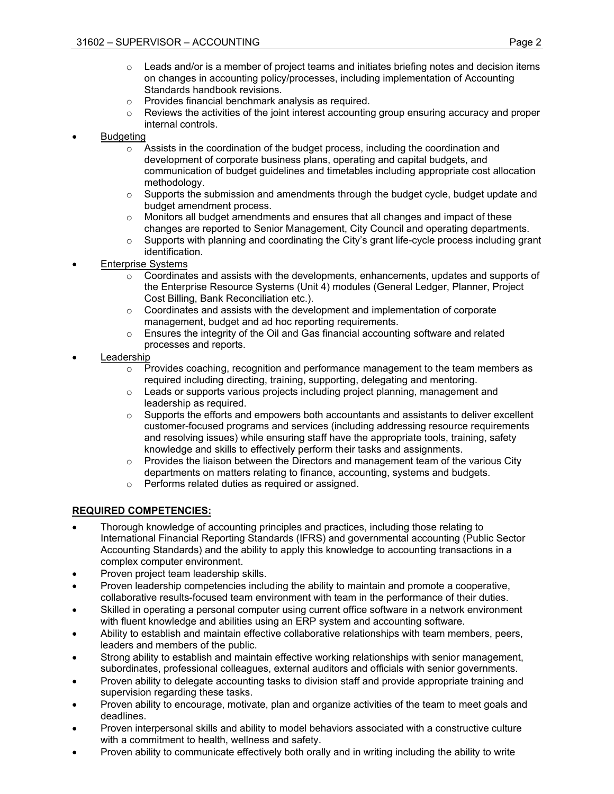- $\circ$  Leads and/or is a member of project teams and initiates briefing notes and decision items on changes in accounting policy/processes, including implementation of Accounting Standards handbook revisions.
- o Provides financial benchmark analysis as required.
- $\circ$  Reviews the activities of the joint interest accounting group ensuring accuracy and proper internal controls.

## **Budgeting**

- $\circ$  Assists in the coordination of the budget process, including the coordination and development of corporate business plans, operating and capital budgets, and communication of budget guidelines and timetables including appropriate cost allocation methodology.
- $\circ$  Supports the submission and amendments through the budget cycle, budget update and budget amendment process.
- $\circ$  Monitors all budget amendments and ensures that all changes and impact of these changes are reported to Senior Management, City Council and operating departments.
- $\circ$  Supports with planning and coordinating the City's grant life-cycle process including grant identification.
- **Enterprise Systems** 
	- $\circ$  Coordinates and assists with the developments, enhancements, updates and supports of the Enterprise Resource Systems (Unit 4) modules (General Ledger, Planner, Project Cost Billing, Bank Reconciliation etc.).
	- $\circ$  Coordinates and assists with the development and implementation of corporate management, budget and ad hoc reporting requirements.
	- $\circ$  Ensures the integrity of the Oil and Gas financial accounting software and related processes and reports.
- **Leadership** 
	- $\circ$  Provides coaching, recognition and performance management to the team members as required including directing, training, supporting, delegating and mentoring.
	- $\circ$  Leads or supports various projects including project planning, management and leadership as required.
	- $\circ$  Supports the efforts and empowers both accountants and assistants to deliver excellent customer-focused programs and services (including addressing resource requirements and resolving issues) while ensuring staff have the appropriate tools, training, safety knowledge and skills to effectively perform their tasks and assignments.
	- $\circ$  Provides the liaison between the Directors and management team of the various City departments on matters relating to finance, accounting, systems and budgets.
	- o Performs related duties as required or assigned.

## **REQUIRED COMPETENCIES:**

- Thorough knowledge of accounting principles and practices, including those relating to International Financial Reporting Standards (IFRS) and governmental accounting (Public Sector Accounting Standards) and the ability to apply this knowledge to accounting transactions in a complex computer environment.
- Proven project team leadership skills.
- Proven leadership competencies including the ability to maintain and promote a cooperative, collaborative results-focused team environment with team in the performance of their duties.
- Skilled in operating a personal computer using current office software in a network environment with fluent knowledge and abilities using an ERP system and accounting software.
- Ability to establish and maintain effective collaborative relationships with team members, peers, leaders and members of the public.
- Strong ability to establish and maintain effective working relationships with senior management, subordinates, professional colleagues, external auditors and officials with senior governments.
- Proven ability to delegate accounting tasks to division staff and provide appropriate training and supervision regarding these tasks.
- Proven ability to encourage, motivate, plan and organize activities of the team to meet goals and deadlines.
- Proven interpersonal skills and ability to model behaviors associated with a constructive culture with a commitment to health, wellness and safety.
- Proven ability to communicate effectively both orally and in writing including the ability to write